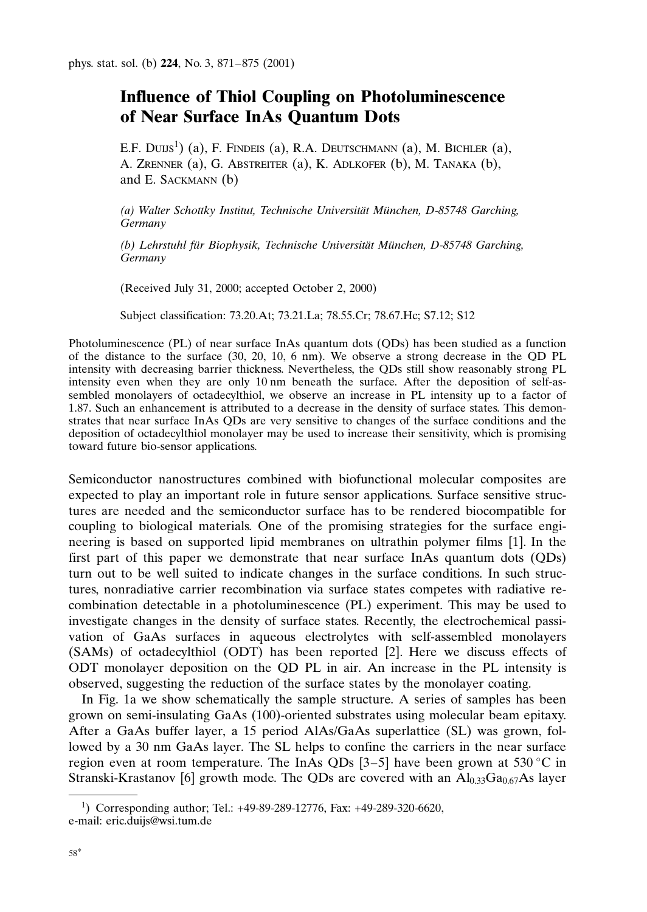## Influence of Thiol Coupling on Photoluminescence of Near Surface InAs Quantum Dots

E.F. Duis<sup>1</sup>) (a), F. Findeis (a), R.A. Deutschmann (a), M. Bichler (a), A. Zrenner (a), G. Abstreiter (a), K. Adlkofer (b), M. Tanaka (b), and E. Sackmann (b)

(a) Walter Schottky Institut, Technische Universität München, D-85748 Garching, **Germany** 

(b) Lehrstuhl für Biophysik, Technische Universität München, D-85748 Garching, Germany

(Received July 31, 2000; accepted October 2, 2000)

Subject classification: 73.20.At; 73.21.La; 78.55.Cr; 78.67.Hc; S7.12; S12

Photoluminescence (PL) of near surface InAs quantum dots (QDs) has been studied as a function of the distance to the surface (30, 20, 10, 6 nm). We observe a strong decrease in the QD PL intensity with decreasing barrier thickness. Nevertheless, the QDs still show reasonably strong PL intensity even when they are only 10 nm beneath the surface. After the deposition of self-assembled monolayers of octadecylthiol, we observe an increase in PL intensity up to a factor of 1.87. Such an enhancement is attributed to a decrease in the density of surface states. This demonstrates that near surface InAs QDs are very sensitive to changes of the surface conditions and the deposition of octadecylthiol monolayer may be used to increase their sensitivity, which is promising toward future bio-sensor applications.

Semiconductor nanostructures combined with biofunctional molecular composites are expected to play an important role in future sensor applications. Surface sensitive structures are needed and the semiconductor surface has to be rendered biocompatible for coupling to biological materials. One of the promising strategies for the surface engineering is based on supported lipid membranes on ultrathin polymer films [1]. In the first part of this paper we demonstrate that near surface InAs quantum dots (QDs) turn out to be well suited to indicate changes in the surface conditions. In such structures, nonradiative carrier recombination via surface states competes with radiative recombination detectable in a photoluminescence (PL) experiment. This may be used to investigate changes in the density of surface states. Recently, the electrochemical passivation of GaAs surfaces in aqueous electrolytes with self-assembled monolayers (SAMs) of octadecylthiol (ODT) has been reported [2]. Here we discuss effects of ODT monolayer deposition on the QD PL in air. An increase in the PL intensity is observed, suggesting the reduction of the surface states by the monolayer coating.

In Fig. 1a we show schematically the sample structure. A series of samples has been grown on semi-insulating GaAs (100)-oriented substrates using molecular beam epitaxy. After a GaAs buffer layer, a 15 period AlAs/GaAs superlattice (SL) was grown, followed by a 30 nm GaAs layer. The SL helps to confine the carriers in the near surface region even at room temperature. The InAs QDs [3–5] have been grown at 530 °C in Stranski-Krastanov [6] growth mode. The QDs are covered with an  $Al_{0,33}Ga_{0,67}As$  layer

<sup>1</sup> ) Corresponding author; Tel.: +49-89-289-12776, Fax: +49-289-320-6620, e-mail: eric.duijs@wsi.tum.de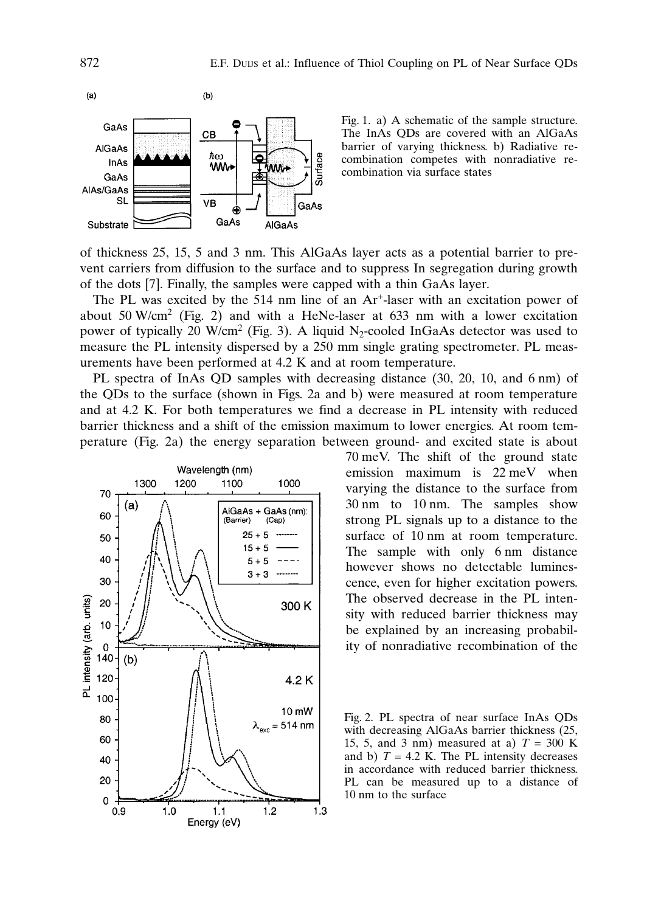

Fig. 1. a) A schematic of the sample structure. The InAs QDs are covered with an AlGaAs barrier of varying thickness. b) Radiative recombination competes with nonradiative recombination via surface states

of thickness 25, 15, 5 and 3 nm. This AlGaAs layer acts as a potential barrier to prevent carriers from diffusion to the surface and to suppress In segregation during growth of the dots [7]. Finally, the samples were capped with a thin GaAs layer.

The PL was excited by the 514 nm line of an Ar<sup>+</sup>-laser with an excitation power of about 50 W/cm<sup>2</sup> (Fig. 2) and with a HeNe-laser at 633 nm with a lower excitation power of typically 20 W/cm<sup>2</sup> (Fig. 3). A liquid N<sub>2</sub>-cooled InGaAs detector was used to measure the PL intensity dispersed by a 250 mm single grating spectrometer. PL measurements have been performed at 4.2 K and at room temperature.

PL spectra of InAs QD samples with decreasing distance (30, 20, 10, and 6 nm) of the QDs to the surface (shown in Figs. 2a and b) were measured at room temperature and at 4.2 K. For both temperatures we find a decrease in PL intensity with reduced barrier thickness and a shift of the emission maximum to lower energies. At room temperature (Fig. 2a) the energy separation between ground- and excited state is about



70 meV. The shift of the ground state emission maximum is 22 meV when varying the distance to the surface from 30 nm to 10 nm. The samples show strong PL signals up to a distance to the surface of 10 nm at room temperature. The sample with only 6 nm distance however shows no detectable luminescence, even for higher excitation powers. The observed decrease in the PL intensity with reduced barrier thickness may be explained by an increasing probability of nonradiative recombination of the

Fig. 2. PL spectra of near surface InAs QDs with decreasing AlGaAs barrier thickness (25, 15, 5, and 3 nm) measured at a)  $T = 300$  K and b)  $T = 4.2$  K. The PL intensity decreases in accordance with reduced barrier thickness. PL can be measured up to a distance of 10 nm to the surface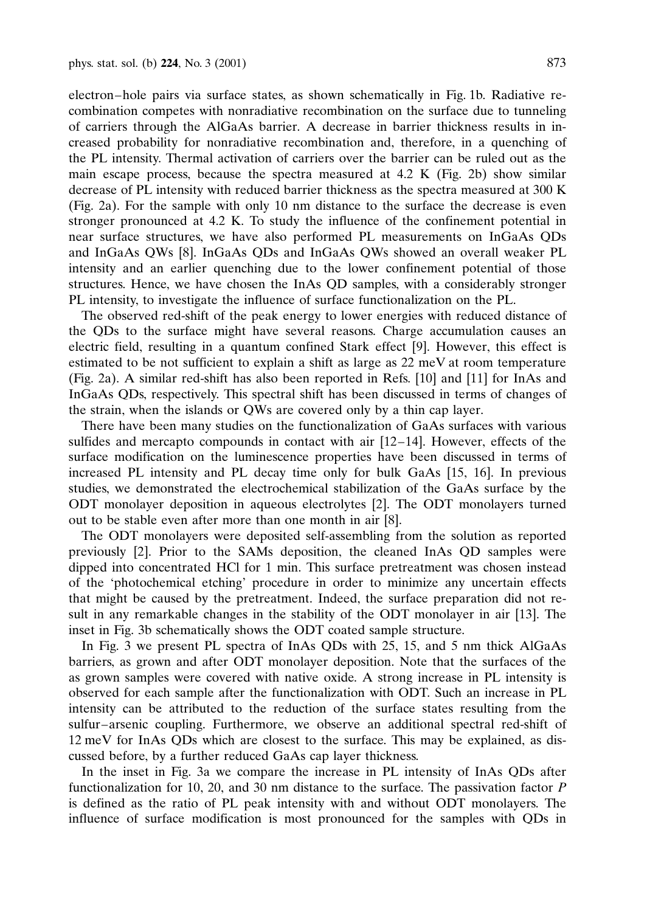electron–hole pairs via surface states, as shown schematically in Fig. 1b. Radiative recombination competes with nonradiative recombination on the surface due to tunneling of carriers through the AlGaAs barrier. A decrease in barrier thickness results in increased probability for nonradiative recombination and, therefore, in a quenching of the PL intensity. Thermal activation of carriers over the barrier can be ruled out as the main escape process, because the spectra measured at 4.2 K (Fig. 2b) show similar decrease of PL intensity with reduced barrier thickness as the spectra measured at 300 K (Fig. 2a). For the sample with only 10 nm distance to the surface the decrease is even stronger pronounced at 4.2 K. To study the influence of the confinement potential in near surface structures, we have also performed PL measurements on InGaAs QDs and InGaAs QWs [8]. InGaAs QDs and InGaAs QWs showed an overall weaker PL intensity and an earlier quenching due to the lower confinement potential of those structures. Hence, we have chosen the InAs QD samples, with a considerably stronger PL intensity, to investigate the influence of surface functionalization on the PL.

The observed red-shift of the peak energy to lower energies with reduced distance of the QDs to the surface might have several reasons. Charge accumulation causes an electric field, resulting in a quantum confined Stark effect [9]. However, this effect is estimated to be not sufficient to explain a shift as large as 22 meV at room temperature (Fig. 2a). A similar red-shift has also been reported in Refs. [10] and [11] for InAs and InGaAs QDs, respectively. This spectral shift has been discussed in terms of changes of the strain, when the islands or QWs are covered only by a thin cap layer.

There have been many studies on the functionalization of GaAs surfaces with various sulfides and mercapto compounds in contact with air  $[12-14]$ . However, effects of the surface modification on the luminescence properties have been discussed in terms of increased PL intensity and PL decay time only for bulk GaAs [15, 16]. In previous studies, we demonstrated the electrochemical stabilization of the GaAs surface by the ODT monolayer deposition in aqueous electrolytes [2]. The ODT monolayers turned out to be stable even after more than one month in air [8].

The ODT monolayers were deposited self-assembling from the solution as reported previously [2]. Prior to the SAMs deposition, the cleaned InAs QD samples were dipped into concentrated HCl for 1 min. This surface pretreatment was chosen instead of the 'photochemical etching' procedure in order to minimize any uncertain effects that might be caused by the pretreatment. Indeed, the surface preparation did not result in any remarkable changes in the stability of the ODT monolayer in air [13]. The inset in Fig. 3b schematically shows the ODT coated sample structure.

In Fig. 3 we present PL spectra of InAs QDs with 25, 15, and 5 nm thick AlGaAs barriers, as grown and after ODT monolayer deposition. Note that the surfaces of the as grown samples were covered with native oxide. A strong increase in PL intensity is observed for each sample after the functionalization with ODT. Such an increase in PL intensity can be attributed to the reduction of the surface states resulting from the sulfur–arsenic coupling. Furthermore, we observe an additional spectral red-shift of 12 meV for InAs QDs which are closest to the surface. This may be explained, as discussed before, by a further reduced GaAs cap layer thickness.

In the inset in Fig. 3a we compare the increase in PL intensity of InAs QDs after functionalization for 10, 20, and 30 nm distance to the surface. The passivation factor  $P$ is defined as the ratio of PL peak intensity with and without ODT monolayers. The influence of surface modification is most pronounced for the samples with QDs in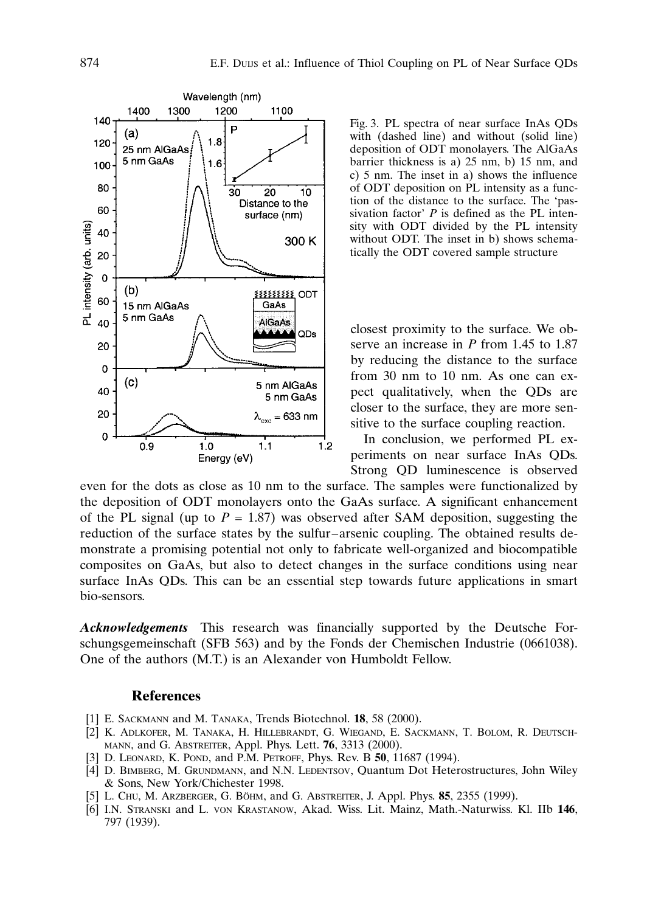

Fig. 3. PL spectra of near surface InAs QDs with (dashed line) and without (solid line) deposition of ODT monolayers. The AlGaAs barrier thickness is a) 25 nm, b) 15 nm, and c) 5 nm. The inset in a) shows the influence of ODT deposition on PL intensity as a function of the distance to the surface. The 'passivation factor'  $P$  is defined as the PL intensity with ODT divided by the PL intensity without ODT. The inset in b) shows schematically the ODT covered sample structure

closest proximity to the surface. We observe an increase in  $P$  from 1.45 to 1.87 by reducing the distance to the surface from 30 nm to 10 nm. As one can expect qualitatively, when the QDs are closer to the surface, they are more sensitive to the surface coupling reaction.

In conclusion, we performed PL experiments on near surface InAs QDs. Strong QD luminescence is observed

even for the dots as close as 10 nm to the surface. The samples were functionalized by the deposition of ODT monolayers onto the GaAs surface. A significant enhancement of the PL signal (up to  $P = 1.87$ ) was observed after SAM deposition, suggesting the reduction of the surface states by the sulfur–arsenic coupling. The obtained results demonstrate a promising potential not only to fabricate well-organized and biocompatible composites on GaAs, but also to detect changes in the surface conditions using near surface InAs QDs. This can be an essential step towards future applications in smart bio-sensors.

Acknowledgements This research was financially supported by the Deutsche Forschungsgemeinschaft (SFB 563) and by the Fonds der Chemischen Industrie (0661038). One of the authors (M.T.) is an Alexander von Humboldt Fellow.

## **References**

- [1] E. SACKMANN and M. TANAKA, Trends Biotechnol. 18, 58 (2000).
- [2] K. Adlkofer,M. Tanaka,H. Hillebrandt,G. Wiegand,E. Sackmann,T. Bolom,R. Deutschmann, and G. Abstreiter, Appl. Phys. Lett. 76, 3313 (2000).
- [3] D. LEONARD, K. POND, and P.M. PETROFF, Phys. Rev. B 50, 11687 (1994).
- [4] D. BIMBERG, M. GRUNDMANN, and N.N. LEDENTSOV, Quantum Dot Heterostructures, John Wiley & Sons, New York/Chichester 1998.
- [5] L. CHU, M. ARZBERGER, G. BÖHM, and G. ABSTREITER, J. Appl. Phys. 85, 2355 (1999).
- [6] I.N. Stranski and L. von Krastanow, Akad. Wiss. Lit. Mainz, Math.-Naturwiss. Kl. IIb 146, 797 (1939).